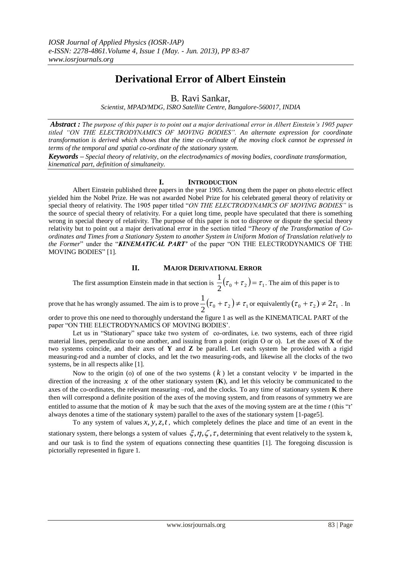# **Derivational Error of Albert Einstein**

B. Ravi Sankar,

*Scientist, MPAD/MDG, ISRO Satellite Centre, Bangalore-560017, INDIA*

*Abstract : The purpose of this paper is to point out a major derivational error in Albert Einstein's 1905 paper titled "ON THE ELECTRODYNAMICS OF MOVING BODIES". An alternate expression for coordinate transformation is derived which shows that the time co-ordinate of the moving clock cannot be expressed in terms of the temporal and spatial co-ordinate of the stationary system.*

*Keywords – Special theory of relativity, on the electrodynamics of moving bodies, coordinate transformation, kinematical part, definition of simultaneity.* 

# **I. INTRODUCTION**

Albert Einstein published three papers in the year 1905. Among them the paper on photo electric effect yielded him the Nobel Prize. He was not awarded Nobel Prize for his celebrated general theory of relativity or special theory of relativity. The 1905 paper titled "*ON THE ELECTRODYNAMICS OF MOVING BODIES"* is the source of special theory of relativity. For a quiet long time, people have speculated that there is something wrong in special theory of relativity. The purpose of this paper is not to disprove or dispute the special theory relativity but to point out a major derivational error in the section titled "*Theory of the Transformation of Coordinates and Times from a Stationary System to another System in Uniform Motion of Translation relatively to the Former*" under the "*KINEMATICAL PART'* of the paper "ON THE ELECTRODYNAMICS OF THE MOVING BODIES" [1].

# **II. MAJOR DERIVATIONAL ERROR**

The first assumption Einstein made in that section is  $\frac{1}{2}(\tau_0 + \tau_2) = \tau_1$  $\frac{1}{2}(\tau_0 + \tau_2) = \tau_1$ . The aim of this paper is to

prove that he has wrongly assumed. The aim is to prove  $\frac{1}{2}(\tau_0 + \tau_2) \neq \tau_1$  $\frac{1}{2}(\tau_0 + \tau_2) \neq \tau_1$  or equivalently  $(\tau_0 + \tau_2) \neq 2\tau_1$ . In

order to prove this one need to thoroughly understand the figure 1 as well as the KINEMATICAL PART of the paper "ON THE ELECTRODYNAMICS OF MOVING BODIES'.

Let us in "Stationary" space take two system of co-ordinates, i.e. two systems, each of three rigid material lines, perpendicular to one another, and issuing from a point (origin O or o). Let the axes of **X** of the two systems coincide, and their axes of **Y** and **Z** be parallel. Let each system be provided with a rigid measuring-rod and a number of clocks, and let the two measuring-rods, and likewise all the clocks of the two systems, be in all respects alike [1].

Now to the origin (o) of one of the two systems  $(k)$  let a constant velocity  $\nu$  be imparted in the direction of the increasing  $x$  of the other stationary system  $(K)$ , and let this velocity be communicated to the axes of the co-ordinates, the relevant measuring –rod, and the clocks. To any time of stationary system **K** there then will correspond a definite position of the axes of the moving system, and from reasons of symmetry we are entitled to assume that the motion of  $k$  may be such that the axes of the moving system are at the time  $t$  (this " $t$ ") always denotes a time of the stationary system) parallel to the axes of the stationary system [1-page5].

To any system of values  $x, y, z, t$ , which completely defines the place and time of an event in the stationary system, there belongs a system of values  $\xi, \eta, \zeta, \tau$ , determining that event relatively to the system k,

and our task is to find the system of equations connecting these quantities [1]. The foregoing discussion is pictorially represented in figure 1.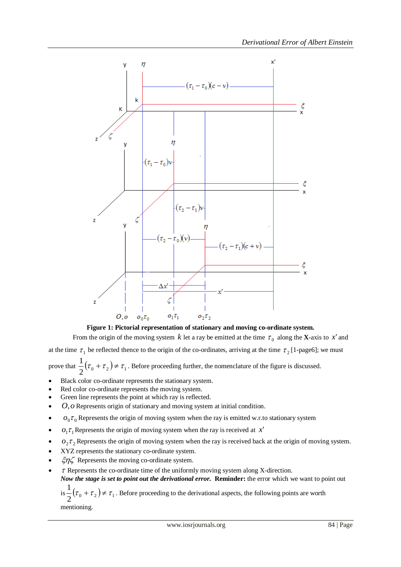

**Figure 1: Pictorial representation of stationary and moving co-ordinate system.** From the origin of the moving system  $k$  let a ray be emitted at the time  $\tau_0$  along the **X**-axis to  $x'$  and

at the time  $\tau_1$  be reflected thence to the origin of the co-ordinates, arriving at the time  $\tau_2$  [1-page6]; we must prove that  $\frac{1}{2}(\tau_0 + \tau_2) \neq \tau_1$  $\frac{1}{f}(\tau_0 + \tau_2) \neq \tau_1$ . Before proceeding further, the nomenclature of the figure is discussed.

- Black color co-ordinate represents the stationary system.
- Red color co-ordinate represents the moving system.
- Green line represents the point at which ray is reflected.
- *O*,*o* Represents origin of stationary and moving system at initial condition.
- $\bullet$   $o_0 \tau_0$  Represents the origin of moving system when the ray is emitted w.r.to stationary system
- $o_1 \tau_1$  Represents the origin of moving system when the ray is received at  $x'$
- $o_2 \tau_2$  Represents the origin of moving system when the ray is received back at the origin of moving system.
- XYZ represents the stationary co-ordinate system.
- $\zeta \eta \zeta$  Represents the moving co-ordinate system.
- $\bullet$   $\tau$  Represents the co-ordinate time of the uniformly moving system along X-direction. *Now the stage is set to point out the derivational error.* **Reminder:** the error which we want to point out
	- is  $\frac{1}{2}(\tau_0 + \tau_2) \neq \tau_1$  $\frac{1}{\epsilon}(\tau_0 + \tau_2) \neq \tau_1$ . Before proceeding to the derivational aspects, the following points are worth mentioning.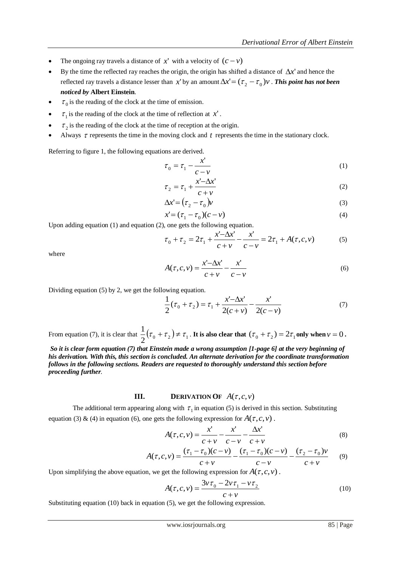- The ongoing ray travels a distance of  $x'$  with a velocity of  $(c v)$
- By the time the reflected ray reaches the origin, the origin has shifted a distance of  $\Delta x'$  and hence the reflected ray travels a distance lesser than x' by an amount  $\Delta x' = (\tau_2 - \tau_0)v$  . This point has not been *noticed by* **Albert Einstein**.
- $\bullet$   $\tau_0$  is the reading of the clock at the time of emission.
- $\tau_1$  is the reading of the clock at the time of reflection at  $x'$ .
- $\bullet$   $\tau_2$  is the reading of the clock at the time of reception at the origin.
- Always  $\tau$  represents the time in the moving clock and  $t$  represents the time in the stationary clock.

Referring to figure 1, the following equations are derived.

$$
\tau_0 = \tau_1 - \frac{x'}{c - v} \tag{1}
$$

$$
\tau_2 = \tau_1 + \frac{x' - \Delta x'}{c + v} \tag{2}
$$

$$
\Delta x' = (\tau_2 - \tau_0)v
$$
\n(3)

$$
x' = (\tau_1 - \tau_0)(c - v)
$$
 (4)

Upon adding equation (1) and equation (2), one gets the following equation.

$$
\tau_0 + \tau_2 = 2\tau_1 + \frac{x' - \Delta x'}{c + \nu} - \frac{x'}{c - \nu} = 2\tau_1 + A(\tau, c, \nu)
$$
 (5)

where

$$
A(\tau, c, \nu) = \frac{x'-\Delta x'}{c+\nu} - \frac{x'}{c-\nu}
$$
 (6)

Dividing equation (5) by 2, we get the following equation.

$$
\frac{1}{2}(\tau_0 + \tau_2) = \tau_1 + \frac{x' - \Delta x'}{2(c + v)} - \frac{x'}{2(c - v)}
$$
(7)

From equation (7), it is clear that  $\frac{1}{2}(\tau_0 + \tau_2) \neq \tau_1$  $\frac{1}{2}(\tau_0+\tau_2) \neq \tau_1$ . It is also clear that  $(\tau_0+\tau_2) = 2\tau_1$  only when  $v = 0$ .

*So it is clear form equation (7) that Einstein made a wrong assumption [1-page 6] at the very beginning of his derivation. With this, this section is concluded. An alternate derivation for the coordinate transformation follows in the following sections. Readers are requested to thoroughly understand this section before proceeding further.*

### **III. DERIVATION OF**  $A(\tau, c, \nu)$

The additional term appearing along with  $\tau_1$  in equation (5) is derived in this section. Substituting equation (3) & (4) in equation (6), one gets the following expression for  $A(\tau, c, v)$ .

$$
A(\tau, c, \nu) = \frac{x'}{c + \nu} - \frac{x'}{c - \nu} - \frac{\Delta x'}{c + \nu}
$$
\n
$$
(8)
$$

$$
A(\tau, c, v) = \frac{(\tau_1 - \tau_0)(c - v)}{c + v} - \frac{(\tau_1 - \tau_0)(c - v)}{c - v} - \frac{(\tau_2 - \tau_0)v}{c + v} \tag{9}
$$

Upon simplifying the above equation, we get the following expression for  $A(\tau, c, \nu)$ .

$$
A(\tau, c, \nu) = \frac{3\nu\tau_0 - 2\nu\tau_1 - \nu\tau_2}{c + \nu}
$$
\n(10)

Substituting equation (10) back in equation (5), we get the following expression.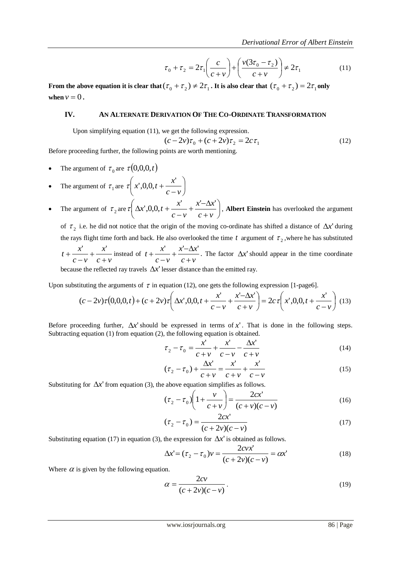$$
\tau_0 + \tau_2 = 2\tau_1 \left(\frac{c}{c+v}\right) + \left(\frac{v(3\tau_0 - \tau_2)}{c+v}\right) \neq 2\tau_1
$$
\n(11)

From the above equation it is clear that  $(\tau_0 + \tau_2) \neq 2\tau_1$ . It is also clear that  $(\tau_0 + \tau_2) = 2\tau_1$  only when  $v = 0$ .

### **IV. AN ALTERNATE DERIVATION OF THE CO-ORDINATE TRANSFORMATION**

Upon simplifying equation (11), we get the following expression.

$$
(c - 2v)\tau_0 + (c + 2v)\tau_2 = 2c\tau_1
$$
 (12)

Before proceeding further, the following points are worth mentioning.

- The argument of  $\tau_0$  are  $\tau(0,0,0,t)$
- The argument of  $\tau_1$  are  $\tau \mid x',0,0,t+\frac{\pi}{\pi}$ J  $\left(x^{\prime},0,0,t+\frac{x^{\prime}}{2}\right)$  $\setminus$ ſ  $\overline{a}$  $^{+}$  $c - v$  $\tau(x',0,0,t+\frac{x'}{x})$
- The argument of  $\tau_2$  are  $\tau \Delta x'$ , 0,0,  $t + \frac{x}{\Delta x} + \frac{x}{\Delta x}$ J  $\left(\Delta x^{\prime},0,0,t+\frac{x^{\prime}}{x}+\frac{x^{\prime}-\Delta x^{\prime}}{x}\right)$  $\setminus$ ſ  $^{+}$  $+\frac{x-\Delta}{\Delta}$ - $\Delta x', 0, 0, t +$  $c + v$  $x - \Delta x$  $c - v$  $\tau\left(\Delta x',0,0,t+\frac{x'-\Delta x'}{x'}\right)$ , Albert Einstein has overlooked the argument

of  $\tau_2$  i.e. he did not notice that the origin of the moving co-ordinate has shifted a distance of  $\Delta x'$  during the rays flight time forth and back. He also overlooked the time  $t$  argument of  $\tau_2$ , where he has substituted  $c + v$ *x*  $c - v$  $t + \frac{x}{x}$  $\ddot{}$  $^{+}$ - $+\frac{x'}{c-v}+\frac{x'}{c+v}$  instead of  $t+\frac{x'}{c-v}+\frac{x'-\Delta y}{c+v}$  $x - \Delta x$  $c - v$  $t + \frac{x}{x}$  $\overline{+}$  $+\frac{x-\Delta}{\Delta}$  $\overline{a}$  $+\frac{x'}{x' + \Delta x'}$ . The factor  $\Delta x$ ' should appear in the time coordinate

because the reflected ray travels  $\Delta x'$  lesser distance than the emitted ray.

Upon substituting the arguments of  $\tau$  in equation (12), one gets the following expression [1-page6].

$$
(c-2\nu)\tau(0,0,0,t) + (c+2\nu)\tau\left(\Delta x',0,0,t+\frac{x'}{c-\nu}+\frac{x'-\Delta x'}{c+\nu}\right) = 2c\tau\left(x',0,0,t+\frac{x'}{c-\nu}\right)
$$
(13)

Before proceeding further,  $\Delta x'$  should be expressed in terms of x'. That is done in the following steps. Subtracting equation (1) from equation (2), the following equation is obtained.

$$
\tau_2 - \tau_0 = \frac{x'}{c + v} + \frac{x'}{c - v} - \frac{\Delta x'}{c + v}
$$
(14)

$$
(\tau_2 - \tau_0) + \frac{\Delta x'}{c + \nu} = \frac{x'}{c + \nu} + \frac{x'}{c - \nu}
$$
 (15)

Substituting for  $\Delta x'$  from equation (3), the above equation simplifies as follows.

$$
(\tau_2 - \tau_0) \left( 1 + \frac{v}{c + v} \right) = \frac{2cx'}{(c + v)(c - v)}
$$
(16)

$$
(\tau_2 - \tau_0) = \frac{2cx'}{(c + 2v)(c - v)}
$$
\n(17)

Substituting equation (17) in equation (3), the expression for  $\Delta x'$  is obtained as follows.

$$
\Delta x' = (\tau_2 - \tau_0)v = \frac{2cvx'}{(c+2v)(c-v)} = \alpha x' \tag{18}
$$

Where  $\alpha$  is given by the following equation.

$$
\alpha = \frac{2cv}{(c+2v)(c-v)}.
$$
\n(19)